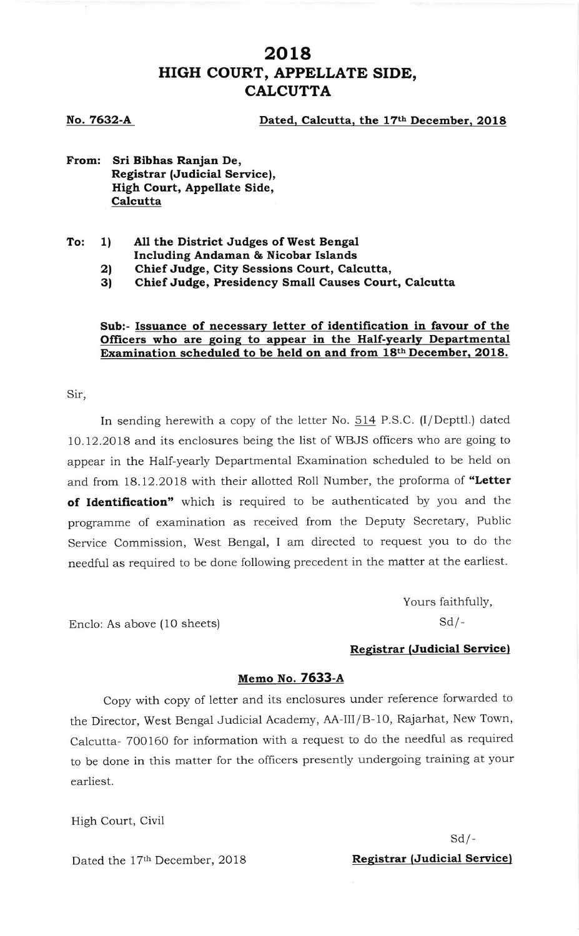## 2018 HIGH COURT, APPELLATE SIDE, **CALCUTTA**

No. 7632-A

Dated, Calcutta, the 17th December, 2018

From: Sri Bibhas Ranjan De, Registrar (Judicial Service), High Court, Appellate Side, **Calcutta** 

- $To: 1)$ All the District Judges of West Bengal Including Andaman & Nicobar Islands
	- 2l Chief Judge, City Sessions Court, Calcutta,
	- 3) Chief Judge, Presidency Small Causes Court, Calcutta

#### Sub:- Issuance of necessary letter of identification in favour of the Officers who are going to appear in the Half-yearly Departmental Examination scheduled to be held on and from 18th December, 2018.

Sir,

In sending herewith a copy of the letter No. 514 P.S.C. (I/Depttl.) dated 10.12.2018 and its enclosures being the list of WBJS officers who are going to appear in the Half-yearly Departmental Examination scheduled to be held on and from 18.12.2018 with their allotted Roll Number, the proforma of "Letter of Identification" which is required to be authenticated by you and the programme of examination as received from the Deputy Secretary, Public Service Commission, West Bengal, I am directed to request you to do the needful as required to be done following precedent in the matter at the earliest.

> Yours faithfully,  $Sd$  /-

#### Registrar (Judicial Servicel

#### Memo No. 7633-A

Copy with copy of letter and its enclosures under reference forwarded to the Director, West Bengal Judiciai Academy, AA-III/B-10, Rajarhat, New Town, calcutta- 700160 for information with a request to do the needful as required to be done in this matter for the officers presently undergoing training at your earliest.

High Court, Civii

Enclo: As above (10 sheets)

# $Sd$  /-

Dated the 17<sup>th</sup> December, 2018 **Registrar (Judicial Service)**